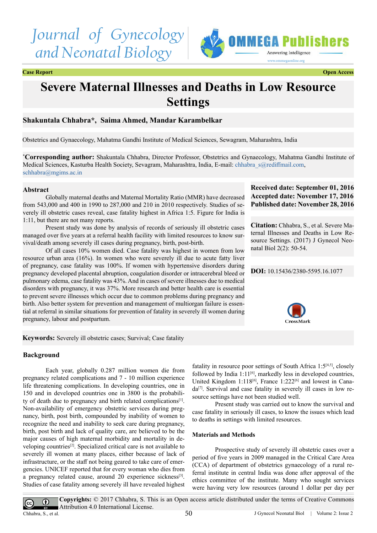# *Journal of Gynecology and Neonatal Biology*



**Case Report Open Access**

## **Severe Maternal Illnesses and Deaths in Low Resource Settings**

### **Shakuntala Chhabra\*, Saima Ahmed, Mandar Karambelkar**

Obstetrics and Gynaecology, Mahatma Gandhi Institute of Medical Sciences, Sewagram, Maharashtra, India

**\* Corresponding author:** Shakuntala Chhabra, Director Professor, Obstetrics and Gynaecology, Mahatma Gandhi Institute of Medical Sciences, Kasturba Health Society, Sevagram, Maharashtra, India, E-mail: [chhabra\\_s@rediffmail.com](mailto:chhabra_s@rediffmail.com), [schhabra@mgims.ac.in](mailto:schhabra@mgims.ac.in)

#### **Abstract**

Globally maternal deaths and Maternal Mortality Ratio (MMR) have decreased from 543,000 and 400 in 1990 to 287,000 and 210 in 2010 respectively. Studies of severely ill obstetric cases reveal, case fatality highest in Africa 1:5. Figure for India is 1:11, but there are not many reports.

Present study was done by analysis of records of seriously ill obstetric cases managed over five years at a referral health facility with limited resources to know survival/death among severely ill cases during pregnancy, birth, post-birth.

Of all cases 10% women died. Case fatality was highest in women from low resource urban area (16%). In women who were severely ill due to acute fatty liver of pregnancy, case fatality was 100%. If women with hypertensive disorders during pregnancy developed placental abruption, coagulation disorder or intracerebral bleed or pulmonary edema, case fatality was 43%. And in cases of severe illnesses due to medical disorders with pregnancy, it was 37%. More research and better health care is essential to prevent severe illnesses which occur due to common problems during pregnancy and birth. Also better system for prevention and management of multiorgan failure is essential at referral in similar situations for prevention of fatality in severely ill women during pregnancy, labour and postpartum.

**Received date: September 01, 2016 Accepted date: November 17, 2016 Published date: November 28, 2016**

**Citation:** Chhabra, S., et al. Severe Maternal Illnesses and Deaths in Low Resource Settings. (2017) J Gynecol Neonatal Biol 2(2): 50-54.

**DOI:** [10.15436/2380-5595.16.10](http://www.dx.doi.org/10.15436/2380-5595.16.1077
)77



**Keywords:** Severely ill obstetric cases; Survival; Case fatality

#### **Background**

Each year, globally 0.287 million women die from pregnancy related complications and 7 - 10 million experience life threatening complications. In developing countries, one in 150 and in developed countries one in 3800 is the probability of death due to pregnancy and birth related complications<sup>[1]</sup>. Non-availability of emergency obstetric services during pregnancy, birth, post birth, compounded by inability of women to recognize the need and inability to seek care during pregnancy, birth, post birth and lack of quality care, are believed to be the major causes of high maternal morbidity and mortality in developing countries<sup>[2]</sup>. Specialized critical care is not available to severely ill women at many places, either because of lack of infrastructure, or the staff not being geared to take care of emergencies. UNICEF reported that for every woman who dies from a pregnancy related cause, around 20 experience sickness<sup>[\[3\]](#page-4-2)</sup>. Studies of case fatality among severely ill have revealed highest fatality in resource poor settings of South Africa  $1:5^{[4,5]}$ , closely followed by India  $1:11^{6}$ , markedly less in developed countries, United Kingdom 1:118<sup>[\[6\]](#page-4-4)</sup>, France 1:222<sup>[6]</sup> and lowest in Cana $da^{[7]}$ . Survival and case fatality in severely ill cases in low resource settings have not been studied well.

Present study was carried out to know the survival and case fatality in seriously ill cases, to know the issues which lead to deaths in settings with limited resources.

#### **Materials and Methods**

Prospective study of severely ill obstetric cases over a period of five years in 2009 managed in the Critical Care Area (CCA) of department of obstetrics gynaecology of a rural referral institute in central India was done after approval of the ethics committee of the institute. Many who sought services were having very low resources (around 1 dollar per day per

 $\bigcirc$  $|cc|$ 

**Copyrights:** © 2017 Chhabra, S. This is an Open access article distributed under the terms of Creative Commons Attribution 4.0 International License. Chhabra, S., et al. 50 J Gynecol Neonatal Biol | Volume 2: Issue 2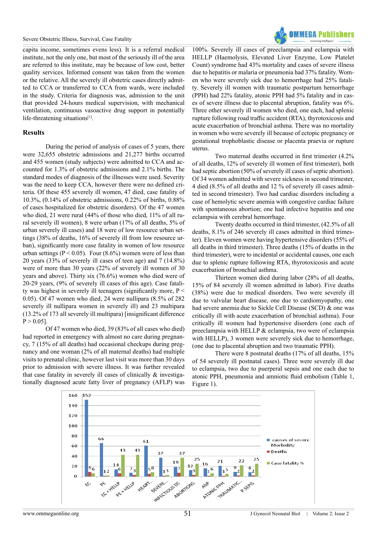#### Severe Obstetric Illness, Survival, Case Fatality



capita income, sometimes evens less). It is a referral medical institute, not the only one, but most of the seriously ill of the area are referred to this institute, may be because of low cost, better quality services. Informed consent was taken from the women or the relative. All the severely ill obstetric cases directly admitted to CCA or transferred to CCA from wards, were included in the study. Criteria for diagnosis was, admission to the unit that provided 24-hours medical supervision, with mechanical ventilation, continuous vasoactive drug support in potentially life-threatening situations<sup>[1]</sup>.

#### **Results**

During the period of analysis of cases of 5 years, there were 32,655 obstetric admissions and 21,277 births occurred and 455 women (study subjects) were admitted to CCA and accounted for 1.3% of obstetric admissions and 2.1% births. The standard modes of diagnosis of the illnesses were used. Severity was the need to keep CCA, however there were no defined criteria. Of these 455 severely ill women, 47 died, case fatality of 10.3%, (0.14% of obstetric admissions, 0.22% of births, 0.88% of cases hospitalized for obstetric disorders). Of the 47 women who died, 21 were rural (44% of those who died, 11% of all rural severely ill women), 8 were urban (17% of all deaths, 5% of urban severely ill cases) and 18 were of low resource urban settings (38% of deaths, 16% of severely ill from low resource urban), significantly more case fatality in women of low resource urban settings ( $P < 0.05$ ). Four (8.6%) women were of less than 20 years (33% of severely ill cases of teen age) and 7 (14.8%) were of more than 30 years (22% of severely ill women of 30 years and above). Thirty six (76.6%) women who died were of 20-29 years, (9% of severely ill cases of this age). Case fatality was highest in severely ill teenagers (significantly more, P < 0.05). Of 47 women who died, 24 were nullipara (8.5% of 282 severely ill nullipara women in severely ill) and 23 multipara (13.2% of 173 all severely ill multipara) [insignificant difference  $P > 0.05$ ].

Of 47 women who died, 39 (83% of all cases who died) had reported in emergency with almost no care during pregnancy, 7 (15% of all deaths) had occasional checkups during pregnancy and one woman (2% of all maternal deaths) had multiple visits to prenatal clinic, however last visit was more than 30 days prior to admission with severe illness. It was further revealed that case fatality in severely ill cases of clinically & investigationally diagnosed acute fatty liver of pregnancy (AFLP) was

100%. Severely ill cases of preeclampsia and eclampsia with HELLP (Haemolysis, Elevated Liver Enzyme, Low Platelet Count) syndrome had 43% mortality and cases of severe illness due to hepatitis or malaria or pneumonia had 37% fatality. Women who were severely sick due to hemorrhage had 25% fatality. Severely ill women with traumatic postpartum hemorrhage (PPH) had 22% fatality, atonic PPH had 5% fatality and in cases of severe illness due to placental abruption, fatality was 6%. Three other severely ill women who died, one each, had splenic rupture following road traffic accident (RTA), thyrotoxicosis and acute exacerbation of bronchial asthma. There was no mortality in women who were severely ill because of ectopic pregnancy or gestational trophoblastic disease or placenta praevia or rupture uterus.

Two maternal deaths occurred in first trimester (4.2% of all deaths, 12% of severely ill women of first trimester), both had septic abortion (50% of severely ill cases of septic abortion). Of 34 women admitted with severe sickness in second trimester, 4 died (8.5% of all deaths and 12 % of severely ill cases admitted in second trimester). Two had cardiac disorders including a case of hemolytic severe anemia with congestive cardiac failure with spontaneous abortion; one had infective hepatitis and one eclampsia with cerebral hemorrhage.

Twenty deaths occurred in third trimester, (42.5% of all deaths, 8.1% of 246 severely ill cases admitted in third trimester). Eleven women were having hypertensive disorders (55% of all deaths in third trimester). Three deaths (15% of deaths in the third trimester), were to incidental or accidental causes, one each due to splenic rupture following RTA, thyrotoxicosis and acute exacerbation of bronchial asthma.

Thirteen women died during labor (28% of all deaths, 15% of 84 severely ill women admitted in labor). Five deaths (38%) were due to medical disorders. Two were severely ill due to valvular heart disease, one due to cardiomyopathy, one had severe anemia due to Sickle Cell Disease (SCD) & one was critically ill with acute exacerbation of bronchial asthma). Four critically ill women had hypertensive disorders (one each of preeclampsia with HELLP & eclampsia, two were of eclampsia with HELLP), 3 women were severely sick due to hemorrhage, (one due to placental abruption and two traumatic PPH).

There were 8 postnatal deaths (17% of all deaths, 15% of 54 severely ill postnatal cases). Three were severely ill due to eclampsia, two due to puerperal sepsis and one each due to atonic PPH, pneumonia and amniotic fluid embolism (Table 1, Figure 1).

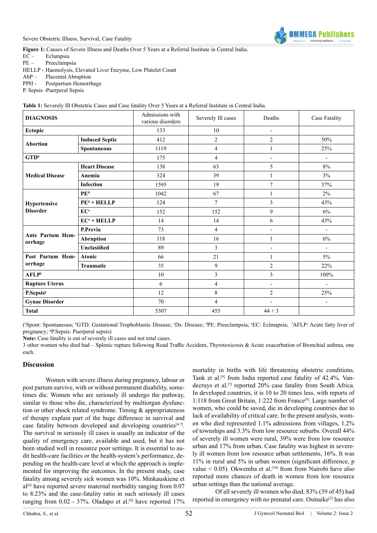

**Figure 1:** Causes of Severe Illness and Deaths Over 5 Years at a Referral Institute in Central India.

EC – Eclampsia

PE – Preeclampsia

HELLP - Haemolysis, Elevated Liver Enzyme, Low Platelet Count

- AbP Placental Abruption
- PPH Postpartum Hemorrhage

P. Sepsis -Puerperal Sepsis

| <b>DIAGNOSIS</b>                |                       | Admissions with<br>various disorders | Severely Ill cases | Deaths                   | Case Fatality            |
|---------------------------------|-----------------------|--------------------------------------|--------------------|--------------------------|--------------------------|
| Ectopic                         |                       | 133                                  | 10                 | $\overline{\phantom{0}}$ |                          |
| <b>Abortion</b>                 | <b>Induced Septic</b> | 412                                  | $\overline{2}$     | $\overline{2}$           | 50%                      |
|                                 | <b>Spontaneous</b>    | 1119                                 | $\overline{4}$     | 1                        | 25%                      |
| $GTD^b$                         |                       | 175                                  | $\overline{4}$     | $\overline{a}$           | $\blacksquare$           |
| <b>Medical Disease</b>          | <b>Heart Disease</b>  | 138                                  | 63                 | 5                        | $8\%$                    |
|                                 | Anemia                | 324                                  | 39                 | $\mathbf{1}$             | 3%                       |
|                                 | <b>Infection</b>      | 1595                                 | 19                 | $\overline{7}$           | 37%                      |
| Hypertensive<br><b>Disorder</b> | PE <sup>d</sup>       | 1042                                 | 67                 | $\mathbf{1}$             | $2\%$                    |
|                                 | $PEd + HELLP$         | 124                                  | $\overline{7}$     | 3                        | 43%                      |
|                                 | EC <sup>e</sup>       | 152                                  | 152                | 9                        | 6%                       |
|                                 | $ECe + HELLP$         | 14                                   | 14                 | 6                        | 43%                      |
| Ante Partum Hem-<br>orrhage     | P.Previa              | 73                                   | $\overline{4}$     | $\overline{\phantom{0}}$ | $\overline{\phantom{a}}$ |
|                                 | <b>Abruption</b>      | 118                                  | 16                 | $\mathbf{1}$             | 6%                       |
|                                 | Unclasiified          | 89                                   | 3                  | $\overline{\phantom{0}}$ | $\overline{\phantom{a}}$ |
| Post Partum Hem-<br>orrhage     | <b>Atonic</b>         | 66                                   | 21                 | 1                        | $5\%$                    |
|                                 | Traumatic             | 35                                   | 9                  | $\overline{c}$           | 22%                      |
| <b>AFLPf</b>                    |                       | 10                                   | 3                  | 3                        | 100%                     |
| <b>Rupture Uterus</b>           |                       | 6                                    | $\overline{4}$     | $\overline{\phantom{a}}$ | $\overline{\phantom{a}}$ |
| P.Sepsis <sup>g</sup>           |                       | 12                                   | 8                  | $\overline{c}$           | 25%                      |
| <b>Gynae Disorder</b>           |                       | 70                                   | $\overline{4}$     | $\overline{\phantom{0}}$ | $\overline{\phantom{a}}$ |
| <b>Total</b>                    |                       | 5307                                 | 455                | $44 + 3$                 |                          |

**Table 1:** Severely Ill Obstetric Cases and Case fatality Over 5 Years at a Referral Institute in Central India.

("Spont: Spontaneous; <sup>b</sup>GTD: Gestational Trophoblastic Disease; "Ds: Disease; <sup>d</sup>PE: Preeclampsia; "EC: Eclmapsia; "AFLP: Acute fatty liver of pregnancy; <sup>g</sup>P.Sepsis: Puerperal sepsis)

**Note:** Case fatality is out of severely ill cases and not total cases.

3 other women who died had – Splenic rupture following Road Traffic Accident, Thyrotoxicosis & Acute exacerbation of Bronchial asthma, one each.

#### **Discussion**

Women with severe illness during pregnancy, labour or post partum survive, with or without permanent disability, sometimes die. Women who are seriously ill undergo the pathway, similar to those who die, characterized by multiorgan dysfunction or other shock related syndrome. Timing & appropriateness of therapy explain part of the huge difference in survival and case fatality between developed and developing countries<sup>[4-7]</sup>. The survival in seriously ill cases is usually an indicator of the quality of emergency care, available and used, but it has not been studied well in resource poor settings. It is essential to audit health-care facilities or the health-system's performance, depending on the health-care level at which the approach is implemented for improving the outcomes. In the present study, case fatality among severely sick women was 10%. Minkauskiene et al<sup>[6]</sup> have reported severe maternal morbidity ranging from 0.07 to 8.23% and the case-fatality ratio in such seriously ill cases ranging from  $0.02$  - 37%. Oladapo et al.<sup>[\[8\]](#page-4-6)</sup> have reported 17%

mortality in births with life threatening obstetric conditions. Tank et al.[\[9\]](#page-4-7) from India reported case fatality of 42.4%. Van-decruys et al.<sup>[\[5\]](#page-4-8)</sup> reported 20% case fatality from South Africa. In developed countries, it is 10 to 20 times less, with reports of 1:118 from Great Britain, 1:222 from France<sup>[\[6\]](#page-4-4)</sup>. Large number of women, who could be saved, die in developing countries due to lack of availability of critical care. In the present analysis, women who died represented 1.1% admissions from villages, 1.2% of townships and 3.3% from low resource suburbs. Overall 44% of severely ill women were rural, 39% were from low resource urban and 17% from urban. Case fatality was highest in severely ill women from low resource urban settlements, 16%. It was 11% in rural and 5% in urban women (significant difference, p value  $\leq 0.05$ ). Okwemba et al.<sup>[10]</sup> from from Nairobi have also reported more chances of death in women from low resource urban settings than the national average.

Of all severely ill women who died, 83% (39 of 45) had reported in emergency with no prenatal care. Osinaike<sup>[2]</sup> has also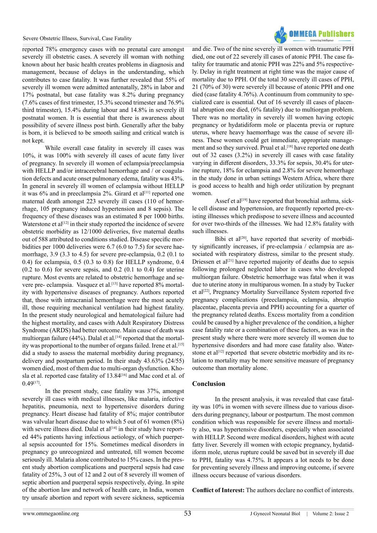

reported 78% emergency cases with no prenatal care amongst severely ill obstetric cases. A severely ill woman with nothing known about her basic health creates problems in diagnosis and management, because of delays in the understanding, which contributes to case fatality. It was further revealed that 55% of severely ill women were admitted antenatally, 28% in labor and 17% postnatal, but case fatality was 8.2% during pregnancy (7.6% cases of first trimester, 15.3% second trimester and 76.9% third trimester), 15.4% during labour and 14.8% in severely ill postnatal women. It is essential that there is awareness about possibility of severe illness post birth. Generally after the baby is born, it is believed to be smooth sailing and critical watch is not kept.

While overall case fatality in severely ill cases was 10%, it was 100% with severely ill cases of acute fatty liver of pregnancy. In severely ill women of eclampsia/preeclampsia with HELLP and/or intracerebral hemorrhage and / or coagulation defects and acute onset pulmonary edema, fatality was 43%. In general in severely ill women of eclampsia without HELLP it was  $6\%$  and in preeclampsia 2%. Girard et al<sup>[\[11\]](#page-4-10)</sup> reported one maternal death amongst 223 severely ill cases (110 of hemorrhage, 105 pregnancy induced hypertension and 8 sepsis). The frequency of these diseases was an estimated 8 per 1000 births. Waterstone et al<sup>[\[12\]](#page-4-11)</sup> in their study reported the incidence of severe obstetric morbidity as 12/1000 deliveries, five maternal deaths out of 588 attributed to conditions studied. Disease specific morbidities per 1000 deliveries were 6.7 (6.0 to 7.5) for severe haemorrhage, 3.9 (3.3 to 4.5) for severe pre-eclampsia, 0.2 (0.1 to 0.4) for eclampsia, 0.5 (0.3 to 0.8) for HELLP syndrome, 0.4  $(0.2 \text{ to } 0.6)$  for severe sepsis, and  $0.2 \text{ (}0.1 \text{ to } 0.4)$  for uterine rupture. Most events are related to obstetric hemorrhage and severe pre- eclampsia. Vasquez et al.<sup>[13]</sup> have reported 8% mortality with hypertensive diseases of pregnancy. Authors reported that, those with intracranial hemorrhage were the most acutely ill, those requiring mechanical ventilation had highest fatality. In the present study neurological and hematological failure had the highest mortality, and cases with Adult Respiratory Distress Syndrome (ARDS) had better outcome. Main cause of death was multiorgan failure (44%). Dalal et al.<sup>[14]</sup> reported that the mortal-ity was proportional to the number of organs failed. Irene et al[.\[15\]](#page-4-14) did a study to assess the maternal morbidity during pregnancy, delivery and postpartum period. In their study 43.63% (24/55) women died, most of them due to multi-organ dysfunction. Kho-sla et al. reported case fatality of 13.84<sup>[\[16\]](#page-4-15)</sup> and Mac cord et al. of 0.49[\[17\]](#page-4-16).

In the present study, case fatality was 37%, amongst severely ill cases with medical illnesses, like malaria, infective hepatitis, pneumonia, next to hypertensive disorders during pregnancy. Heart disease had fatality of 8%; major contributor was valvular heart disease due to which 5 out of 61 women (8%) with severe illness died. Dalal et al<sup>[14]</sup> in their study have reported 44% patients having infectious aetiology, of which puerperal sepsis accounted for 15%. Sometimes medical disorders in pregnancy go unrecognized and untreated, till women become seriously ill. Malaria alone contributed to 15% cases. In the present study abortion complications and puerperal sepsis had case fatality of 25%, 3 out of 12 and 2 out of 8 severely ill women of septic abortion and puerperal sepsis respectively, dying. In spite of the abortion law and network of health care, in India, women try unsafe abortion and report with severe sickness, septicemia

and die. Two of the nine severely ill women with traumatic PPH died, one out of 22 severely ill cases of atonic PPH. The case fatality for traumatic and atonic PPH was 22% and 5% respectively. Delay in right treatment at right time was the major cause of mortality due to PPH. Of the total 30 severely ill cases of PPH, 21 (70% of 30) were severely ill because of atonic PPH and one died (case fatality 4.76%). A continuum from community to specialized care is essential. Out of 16 severely ill cases of placental abruption one died, (6% fatality) due to multiorgan problem. There was no mortality in severely ill women having ectopic pregnancy or hydatidiform mole or placenta previa or rupture uterus, where heavy haemorrhage was the cause of severe illness. These women could get immediate, appropriate management and so they survived. Prual et al.<sup>[18]</sup> have reported one death out of 32 cases (3.2%) in severely ill cases with case fatality varying in different disorders, 33.3% for sepsis, 30.4% for uterine rupture, 18% for eclampsia and 2.8% for severe hemorrhage in the study done in urban settings Western Africa, where there is good access to health and high order utilization by pregnant women.

Assef et al<sup>[19]</sup> have reported that bronchial asthma, sickle cell disease and hypertension, are frequently reported pre-existing illnesses which predispose to severe illness and accounted for over two-thirds of the illnesses. We had 12.8% fatality with such illnesses.

Bibi et al<sup>[\[20\]](#page-4-19)</sup>, have reported that severity of morbidity significantly increases, if pre-eclampsia / eclampsia are associated with respiratory distress, similar to the present study. Driessen et al<sup>[21]</sup> have reported majority of deaths due to sepsis following prolonged neglected labor in cases who developed multiorgan failure. Obstetric hemorrhage was fatal when it was due to uterine atony in multiparous women. In a study by Tucker et al<sup>[22]</sup>, Pregnancy Mortality Surveillance System reported five pregnancy complications (preeclampsia, eclampsia, abruptio placentae, placenta previa and PPH) accounting for a quarter of the pregnancy related deaths. Excess mortality from a condition could be caused by a higher prevalence of the condition, a higher case fatality rate or a combination of these factors, as was in the present study where there were more severely ill women due to hypertensive disorders and had more case fatality also. Waterstone et al<sup>[12]</sup> reported that severe obstetric morbidity and its relation to mortality may be more sensitive measure of pregnancy outcome than mortality alone.

#### **Conclusion**

In the present analysis, it was revealed that case fatality was 10% in women with severe illness due to various disorders during pregnancy, labour or postpartum. The most common condition which was responsible for severe illness and mortality also, was hypertensive disorders, especially when associated with HELLP. Second were medical disorders, highest with acute fatty liver. Severely ill women with ectopic pregnancy, hydatidiform mole, uterus rupture could be saved but in severely ill due to PPH, fatality was 4.75%. It appears a lot needs to be done for preventing severely illness and improving outcome, if severe illness occurs because of various disorders.

**Conflict of Interest:** The authors declare no conflict of interests.